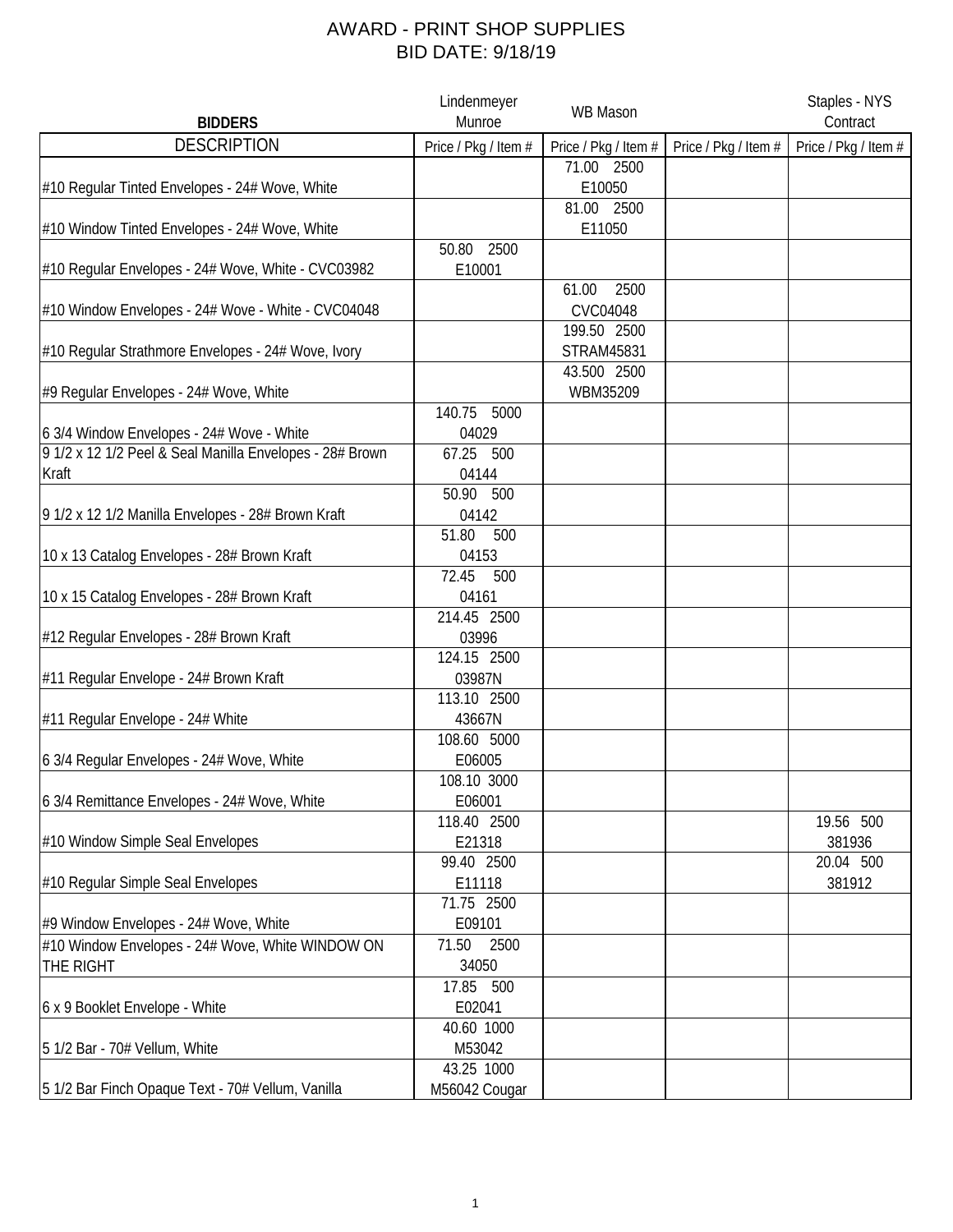## AWARD - PRINT SHOP SUPPLIES BID DATE: 9/18/19

| <b>BIDDERS</b>                                           | Lindenmeyer<br>Munroe | <b>WB Mason</b>      |                      | Staples - NYS<br>Contract |
|----------------------------------------------------------|-----------------------|----------------------|----------------------|---------------------------|
| <b>DESCRIPTION</b>                                       | Price / Pkg / Item #  | Price / Pkg / Item # | Price / Pkg / Item # | Price / Pkg / Item #      |
|                                                          |                       | 71.00 2500           |                      |                           |
| #10 Regular Tinted Envelopes - 24# Wove, White           |                       | E10050               |                      |                           |
|                                                          |                       | 81.00 2500           |                      |                           |
| #10 Window Tinted Envelopes - 24# Wove, White            |                       | E11050               |                      |                           |
|                                                          | 2500<br>50.80         |                      |                      |                           |
| #10 Regular Envelopes - 24# Wove, White - CVC03982       | E10001                |                      |                      |                           |
|                                                          |                       | 2500<br>61.00        |                      |                           |
| #10 Window Envelopes - 24# Wove - White - CVC04048       |                       | CVC04048             |                      |                           |
|                                                          |                       | 199.50 2500          |                      |                           |
| #10 Regular Strathmore Envelopes - 24# Wove, Ivory       |                       | STRAM45831           |                      |                           |
|                                                          |                       | 43.500 2500          |                      |                           |
| #9 Regular Envelopes - 24# Wove, White                   |                       | WBM35209             |                      |                           |
|                                                          | 140.75<br>5000        |                      |                      |                           |
| 6 3/4 Window Envelopes - 24# Wove - White                | 04029                 |                      |                      |                           |
| 9 1/2 x 12 1/2 Peel & Seal Manilla Envelopes - 28# Brown | 67.25 500             |                      |                      |                           |
| Kraft                                                    | 04144                 |                      |                      |                           |
|                                                          | 50.90 500             |                      |                      |                           |
| 9 1/2 x 12 1/2 Manilla Envelopes - 28# Brown Kraft       | 04142                 |                      |                      |                           |
|                                                          | 51.80<br>500          |                      |                      |                           |
| 10 x 13 Catalog Envelopes - 28# Brown Kraft              | 04153                 |                      |                      |                           |
|                                                          | 72.45<br>500          |                      |                      |                           |
| 10 x 15 Catalog Envelopes - 28# Brown Kraft              | 04161                 |                      |                      |                           |
|                                                          | 214.45 2500           |                      |                      |                           |
| #12 Regular Envelopes - 28# Brown Kraft                  | 03996<br>124.15 2500  |                      |                      |                           |
|                                                          |                       |                      |                      |                           |
| #11 Regular Envelope - 24# Brown Kraft                   | 03987N<br>113.10 2500 |                      |                      |                           |
|                                                          | 43667N                |                      |                      |                           |
| #11 Regular Envelope - 24# White                         | 108.60 5000           |                      |                      |                           |
| 6 3/4 Regular Envelopes - 24# Wove, White                | E06005                |                      |                      |                           |
|                                                          | 108.10 3000           |                      |                      |                           |
| 6 3/4 Remittance Envelopes - 24# Wove, White             | E06001                |                      |                      |                           |
|                                                          | 118.40 2500           |                      |                      | 19.56 500                 |
| #10 Window Simple Seal Envelopes                         | E21318                |                      |                      | 381936                    |
|                                                          | 99.40 2500            |                      |                      | 20.04 500                 |
| #10 Regular Simple Seal Envelopes                        | E11118                |                      |                      | 381912                    |
|                                                          | 71.75 2500            |                      |                      |                           |
| #9 Window Envelopes - 24# Wove, White                    | E09101                |                      |                      |                           |
| #10 Window Envelopes - 24# Wove, White WINDOW ON         | 71.50<br>2500         |                      |                      |                           |
| THE RIGHT                                                | 34050                 |                      |                      |                           |
|                                                          | 17.85 500             |                      |                      |                           |
| 6 x 9 Booklet Envelope - White                           | E02041                |                      |                      |                           |
|                                                          | 40.60 1000            |                      |                      |                           |
| 5 1/2 Bar - 70# Vellum, White                            | M53042                |                      |                      |                           |
|                                                          | 43.25 1000            |                      |                      |                           |
| 5 1/2 Bar Finch Opaque Text - 70# Vellum, Vanilla        | M56042 Cougar         |                      |                      |                           |
|                                                          |                       |                      |                      |                           |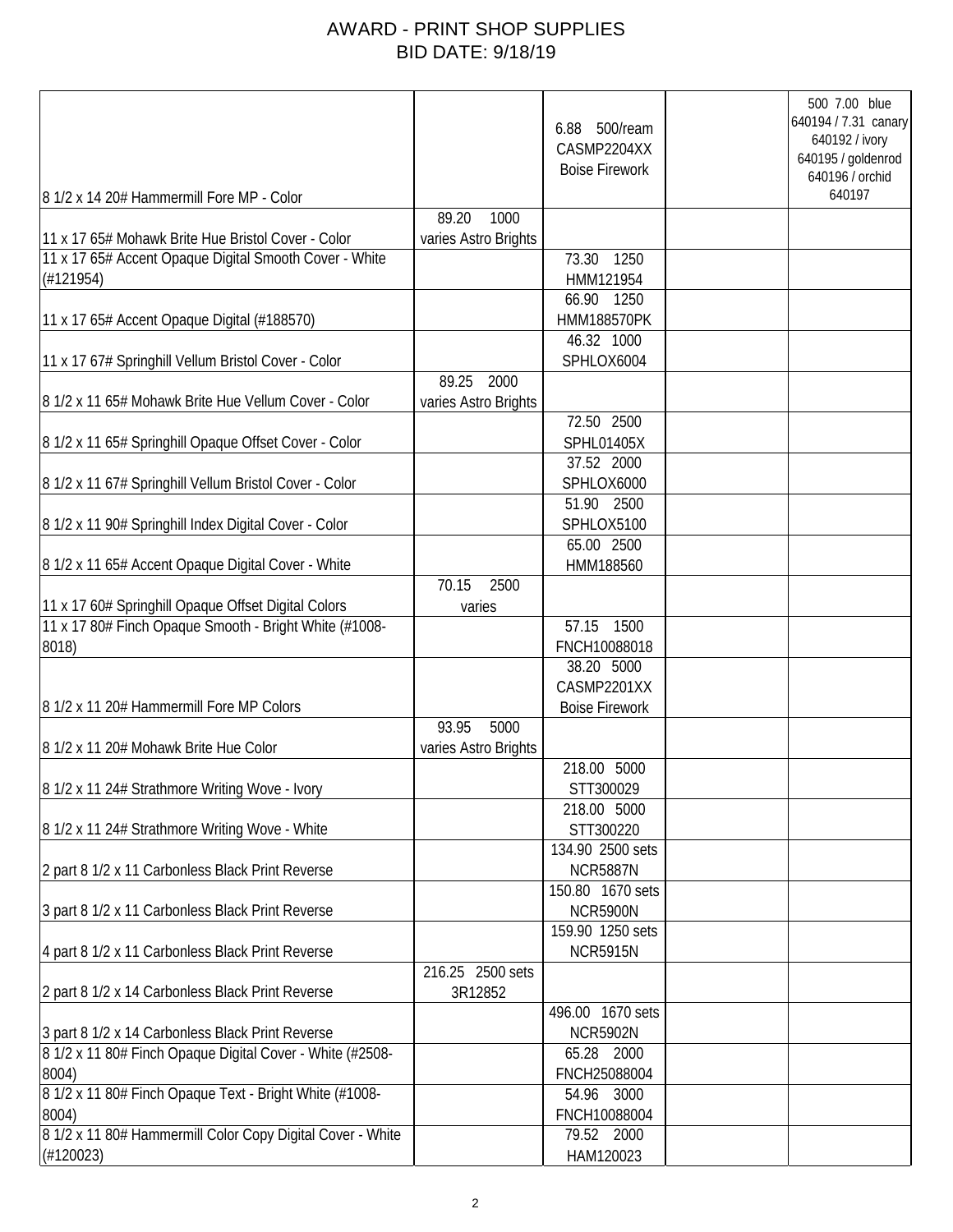## AWARD - PRINT SHOP SUPPLIES BID DATE: 9/18/19

|                                                                                                                                             |                                       | 6.88 500/ream<br>CASMP2204XX<br><b>Boise Firework</b> | 500 7.00 blue<br>640194 / 7.31 canary<br>640192 / ivory<br>640195 / goldenrod<br>640196 / orchid |
|---------------------------------------------------------------------------------------------------------------------------------------------|---------------------------------------|-------------------------------------------------------|--------------------------------------------------------------------------------------------------|
| 8 1/2 x 14 20# Hammermill Fore MP - Color                                                                                                   |                                       |                                                       | 640197                                                                                           |
| 11 x 17 65# Mohawk Brite Hue Bristol Cover - Color<br>11 x 17 65# Accent Opaque Digital Smooth Cover - White<br>(H121954)                   | 89.20<br>1000<br>varies Astro Brights | 73.30 1250<br>HMM121954<br>66.90 1250                 |                                                                                                  |
| 11 x 17 65# Accent Opaque Digital (#188570)                                                                                                 |                                       | <b>HMM188570PK</b>                                    |                                                                                                  |
| 11 x 17 67# Springhill Vellum Bristol Cover - Color                                                                                         |                                       | 46.32 1000<br>SPHLOX6004                              |                                                                                                  |
| 8 1/2 x 11 65# Mohawk Brite Hue Vellum Cover - Color                                                                                        | 2000<br>89.25<br>varies Astro Brights | 72.50 2500                                            |                                                                                                  |
| 8 1/2 x 11 65# Springhill Opaque Offset Cover - Color                                                                                       |                                       | <b>SPHL01405X</b><br>37.52 2000                       |                                                                                                  |
| 8 1/2 x 11 67# Springhill Vellum Bristol Cover - Color                                                                                      |                                       | SPHLOX6000<br>51.90 2500                              |                                                                                                  |
| 8 1/2 x 11 90# Springhill Index Digital Cover - Color                                                                                       |                                       | SPHLOX5100                                            |                                                                                                  |
| 8 1/2 x 11 65# Accent Opaque Digital Cover - White                                                                                          | 70.15<br>2500                         | 65.00 2500<br>HMM188560                               |                                                                                                  |
| 11 x 17 60# Springhill Opaque Offset Digital Colors<br>11 x 17 80# Finch Opaque Smooth - Bright White (#1008-                               | varies                                | 57.15<br>1500                                         |                                                                                                  |
| 8018)                                                                                                                                       |                                       | FNCH10088018<br>38.20 5000                            |                                                                                                  |
| 8 1/2 x 11 20# Hammermill Fore MP Colors                                                                                                    |                                       | CASMP2201XX<br><b>Boise Firework</b>                  |                                                                                                  |
| 8 1/2 x 11 20# Mohawk Brite Hue Color                                                                                                       | 5000<br>93.95<br>varies Astro Brights |                                                       |                                                                                                  |
| 8 1/2 x 11 24# Strathmore Writing Wove - Ivory                                                                                              |                                       | 218.00 5000<br>STT300029                              |                                                                                                  |
| 8 1/2 x 11 24# Strathmore Writing Wove - White                                                                                              |                                       | 218.00 5000<br>STT300220<br>134.90 2500 sets          |                                                                                                  |
| 2 part 8 1/2 x 11 Carbonless Black Print Reverse                                                                                            |                                       | <b>NCR5887N</b><br>150.80 1670 sets                   |                                                                                                  |
| 3 part 8 1/2 x 11 Carbonless Black Print Reverse                                                                                            |                                       | <b>NCR5900N</b><br>159.90 1250 sets                   |                                                                                                  |
| 4 part 8 1/2 x 11 Carbonless Black Print Reverse                                                                                            |                                       | <b>NCR5915N</b>                                       |                                                                                                  |
| 2 part 8 1/2 x 14 Carbonless Black Print Reverse                                                                                            | 216.25 2500 sets<br>3R12852           |                                                       |                                                                                                  |
| 3 part 8 1/2 x 14 Carbonless Black Print Reverse                                                                                            |                                       | 496.00 1670 sets<br><b>NCR5902N</b>                   |                                                                                                  |
| 8 1/2 x 11 80# Finch Opaque Digital Cover - White (#2508-<br>8004)                                                                          |                                       | 65.28 2000<br>FNCH25088004                            |                                                                                                  |
| 8 1/2 x 11 80# Finch Opaque Text - Bright White (#1008-<br>8004)<br>8 1/2 x 11 80# Hammermill Color Copy Digital Cover - White<br>(H120023) |                                       | 54.96 3000<br>FNCH10088004<br>79.52 2000<br>HAM120023 |                                                                                                  |